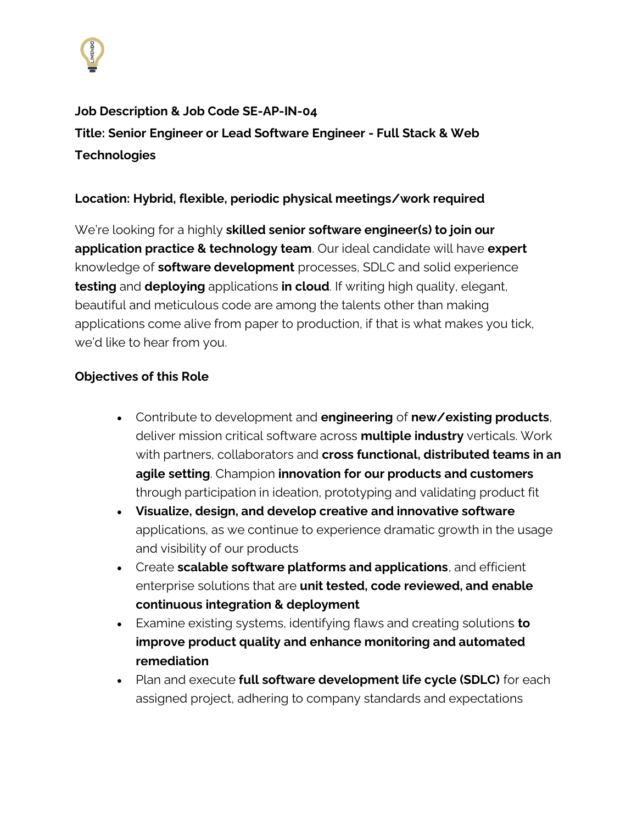

**Job Description & Job Code SE-AP-IN-04 Title: Senior Engineer or Lead Software Engineer - Full Stack & Web Technologies**

## **Location: Hybrid, flexible, periodic physical meetings/work required**

We're looking for a highly **skilled senior software engineer(s) to join our application practice & technology team**. Our ideal candidate will have **expert** knowledge of **software development** processes, SDLC and solid experience **testing** and **deploying** applications **in cloud**. If writing high quality, elegant, beautiful and meticulous code are among the talents other than making applications come alive from paper to production, if that is what makes you tick, we'd like to hear from you.

## **Objectives of this Role**

- Contribute to development and **engineering** of **new/existing products**, deliver mission critical software across **multiple industry** verticals. Work with partners, collaborators and **cross functional, distributed teams in an agile setting**. Champion **innovation for our products and customers**  through participation in ideation, prototyping and validating product fit
- **Visualize, design, and develop creative and innovative software** applications, as we continue to experience dramatic growth in the usage and visibility of our products
- Create **scalable software platforms and applications**, and efficient enterprise solutions that are **unit tested, code reviewed, and enable continuous integration & deployment**
- Examine existing systems, identifying flaws and creating solutions **to improve product quality and enhance monitoring and automated remediation**
- Plan and execute **full software development life cycle (SDLC)** for each assigned project, adhering to company standards and expectations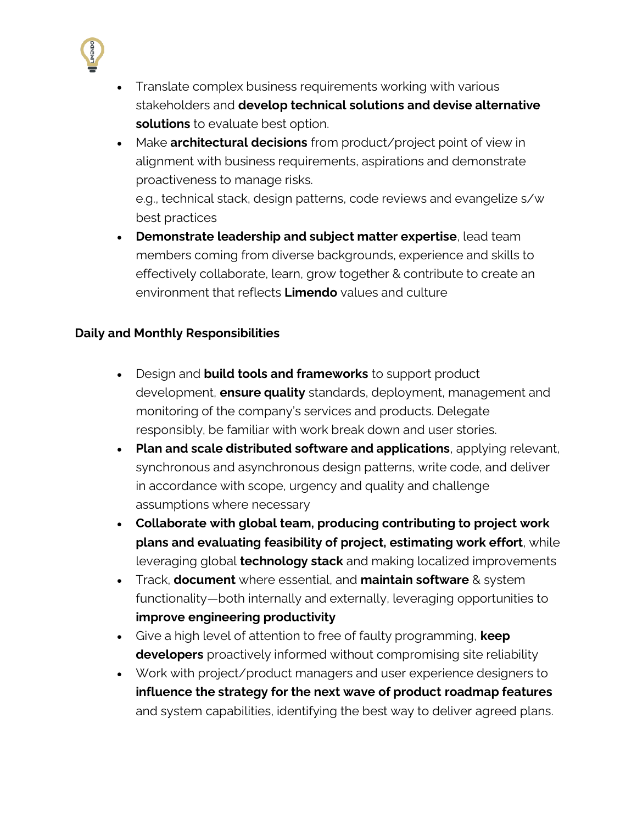

- Translate complex business requirements working with various stakeholders and **develop technical solutions and devise alternative solutions** to evaluate best option.
- Make **architectural decisions** from product/project point of view in alignment with business requirements, aspirations and demonstrate proactiveness to manage risks. e.g., technical stack, design patterns, code reviews and evangelize s/w best practices
- **Demonstrate leadership and subject matter expertise**, lead team members coming from diverse backgrounds, experience and skills to effectively collaborate, learn, grow together & contribute to create an environment that reflects **Limendo** values and culture

## **Daily and Monthly Responsibilities**

- Design and **build tools and frameworks** to support product development, **ensure quality** standards, deployment, management and monitoring of the company's services and products. Delegate responsibly, be familiar with work break down and user stories.
- **Plan and scale distributed software and applications**, applying relevant, synchronous and asynchronous design patterns, write code, and deliver in accordance with scope, urgency and quality and challenge assumptions where necessary
- **Collaborate with global team, producing contributing to project work plans and evaluating feasibility of project, estimating work effort**, while leveraging global **technology stack** and making localized improvements
- Track, **document** where essential, and **maintain software** & system functionality—both internally and externally, leveraging opportunities to **improve engineering productivity**
- Give a high level of attention to free of faulty programming, **keep developers** proactively informed without compromising site reliability
- Work with project/product managers and user experience designers to **influence the strategy for the next wave of product roadmap features** and system capabilities, identifying the best way to deliver agreed plans.